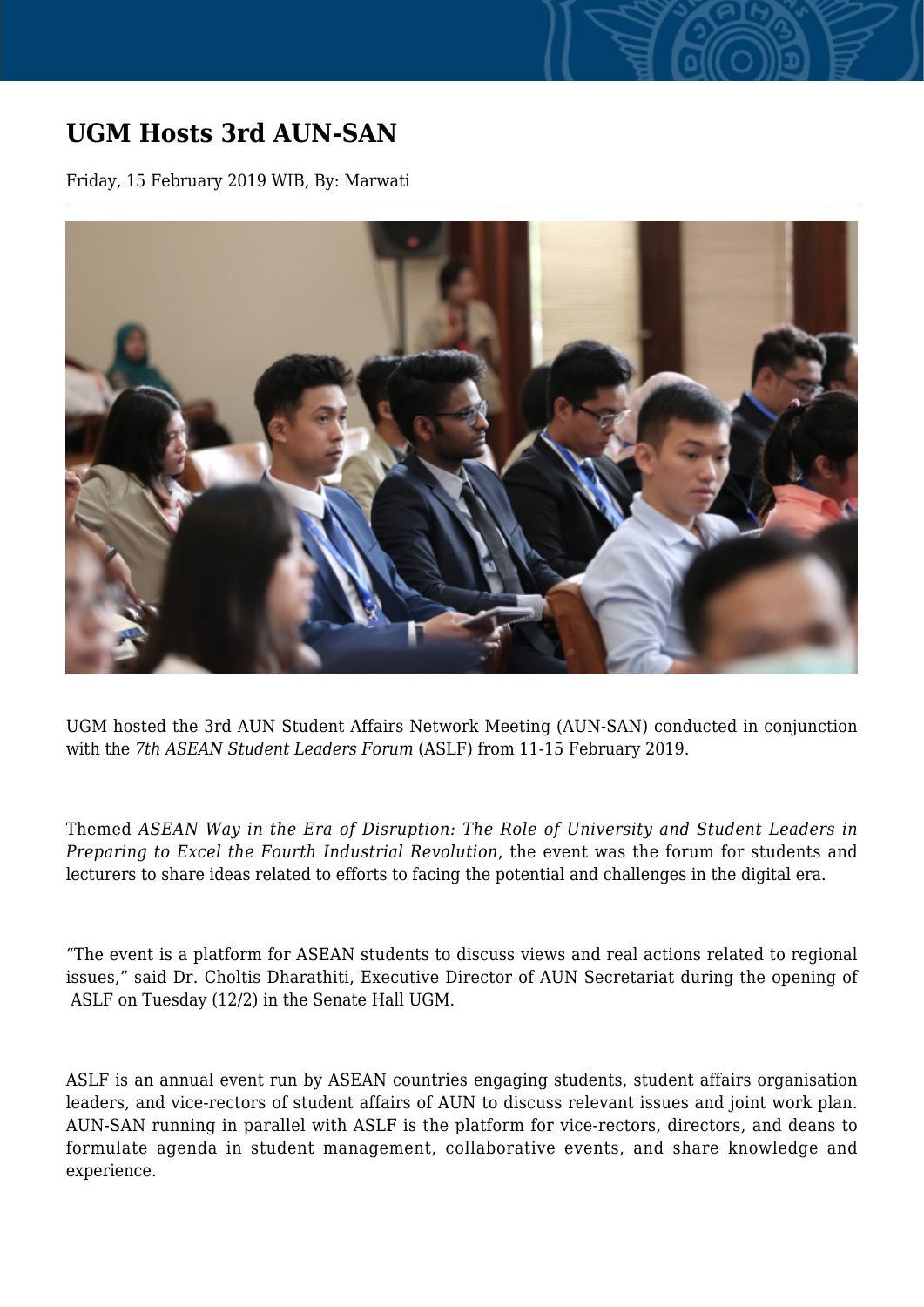## **UGM Hosts 3rd AUN-SAN**

Friday, 15 February 2019 WIB, By: Marwati



UGM hosted the 3rd AUN Student Affairs Network Meeting (AUN-SAN) conducted in conjunction with the *7th ASEAN Student Leaders Forum* (ASLF) from 11-15 February 2019.

Themed *ASEAN Way in the Era of Disruption: The Role of University and Student Leaders in Preparing to Excel the Fourth Industrial Revolution*, the event was the forum for students and lecturers to share ideas related to efforts to facing the potential and challenges in the digital era.

"The event is a platform for ASEAN students to discuss views and real actions related to regional issues," said Dr. Choltis Dharathiti, Executive Director of AUN Secretariat during the opening of ASLF on Tuesday (12/2) in the Senate Hall UGM.

ASLF is an annual event run by ASEAN countries engaging students, student affairs organisation leaders, and vice-rectors of student affairs of AUN to discuss relevant issues and joint work plan. AUN-SAN running in parallel with ASLF is the platform for vice-rectors, directors, and deans to formulate agenda in student management, collaborative events, and share knowledge and experience.